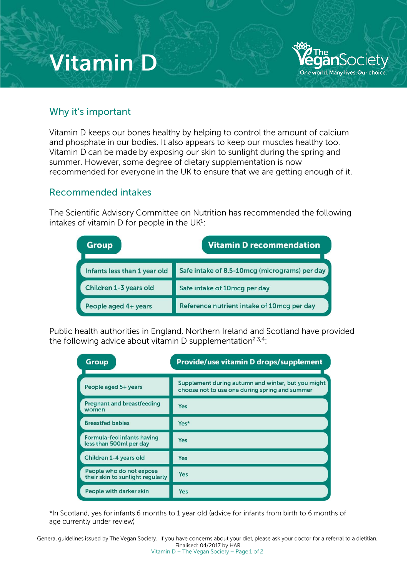# **Vitamin D**



#### Why it's important

Vitamin D keeps our bones healthy by helping to control the amount of calcium and phosphate in our bodies. It also appears to keep our muscles healthy too Vitamin D can be made by exposing our skin to sunlight during the spring and summer. However, some degree of dietary supplementation is now recommended for everyone in the UK to ensure that we are getting enough of it.

### Recornmended intakes

The Scientific Advisory Committee on Nutrition has recommended the following intakes of vitamin D for people in the  $UK<sup>1</sup>$ :

| <b>Group</b>                 | <b>Vitamin D recommendation</b>               |
|------------------------------|-----------------------------------------------|
| Infants less than 1 year old | Safe intake of 8.5-10mcg (micrograms) per day |
| Children 1-3 years old       | Safe intake of 10mcg per day                  |
| People aged 4+ years         | Reference nutrient intake of 10mcg per day    |

Public health authorities in England. Northern Ireland and Scotland have provided the following advice about vitamin D supplementation<sup>2,3,4</sup>:

| <b>Group</b>                                                 | Provide/use vitamin D drops/supplement                                                               |
|--------------------------------------------------------------|------------------------------------------------------------------------------------------------------|
| People aged 5+ years                                         | Supplement during autumn and winter, but you might<br>choose not to use one during spring and summer |
| <b>Pregnant and breastfeeding</b><br>women                   | <b>Yes</b>                                                                                           |
| <b>Breastfed babies</b>                                      | Yes*                                                                                                 |
| Formula-fed infants having<br>less than 500ml per day        | <b>Yes</b>                                                                                           |
| Children 1-4 years old                                       | <b>Yes</b>                                                                                           |
| People who do not expose<br>their skin to sunlight regularly | Yes                                                                                                  |
| People with darker skin                                      | Yes                                                                                                  |

\*In Scotland, yes for infants 6 months to 1 year old (advice for infants from birth to 6 months of age currently under review)